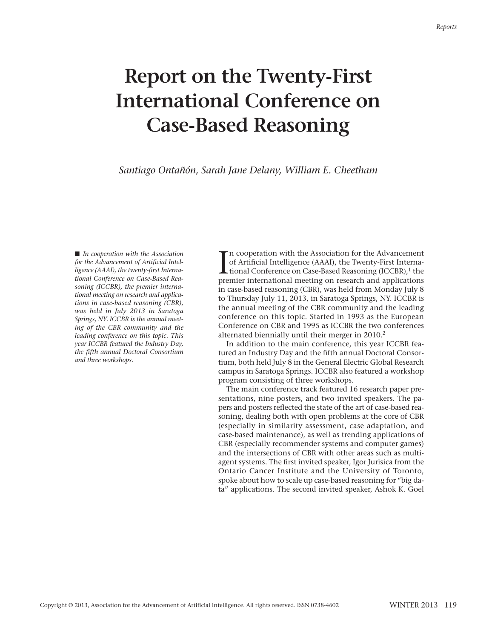## **Report on the Twenty-First International Conference on Case-Based Reasoning**

*Santiago Ontañón, Sarah Jane Delany, William E. Cheetham*

■ *In cooperation with the Association for the Advancement of Artificial Intelligence (AAAI), the twenty-first International Conference on Case-Based Reasoning (ICCBR), the premier international meeting on research and applications in case-based reasoning (CBR), was held in July 2013 in Saratoga Springs, NY. ICCBR is the annual meeting of the CBR community and the leading conference on this topic. This year ICCBR featured the Industry Day, the fifth annual Doctoral Consortium and three workshops.*

In cooperation with the Association for the Advancement<br>of Artificial Intelligence (AAAI), the Twenty-First Interna-<br>tional Conference on Case-Based Reasoning (ICCBR),<sup>1</sup> the<br>premier international meeting on research and a n cooperation with the Association for the Advancement of Artificial Intelligence (AAAI), the Twenty-First Internapremier international meeting on research and applications in case-based reasoning (CBR), was held from Monday July 8 to Thursday July 11, 2013, in Saratoga Springs, NY. ICCBR is the annual meeting of the CBR community and the leading conference on this topic. Started in 1993 as the European Conference on CBR and 1995 as ICCBR the two conferences alternated biennially until their merger in 2010. 2

In addition to the main conference, this year ICCBR featured an Industry Day and the fifth annual Doctoral Consortium, both held July 8 in the General Electric Global Research campus in Saratoga Springs. ICCBR also featured a workshop program consisting of three workshops.

The main conference track featured 16 research paper presentations, nine posters, and two invited speakers. The papers and posters reflected the state of the art of case-based reasoning, dealing both with open problems at the core of CBR (especially in similarity assessment, case adaptation, and case-based maintenance), as well as trending applications of CBR (especially recommender systems and computer games) and the intersections of CBR with other areas such as multiagent systems. The first invited speaker, Igor Jurisica from the Ontario Cancer Institute and the University of Toronto, spoke about how to scale up case-based reasoning for "big data" applications. The second invited speaker, Ashok K. Goel